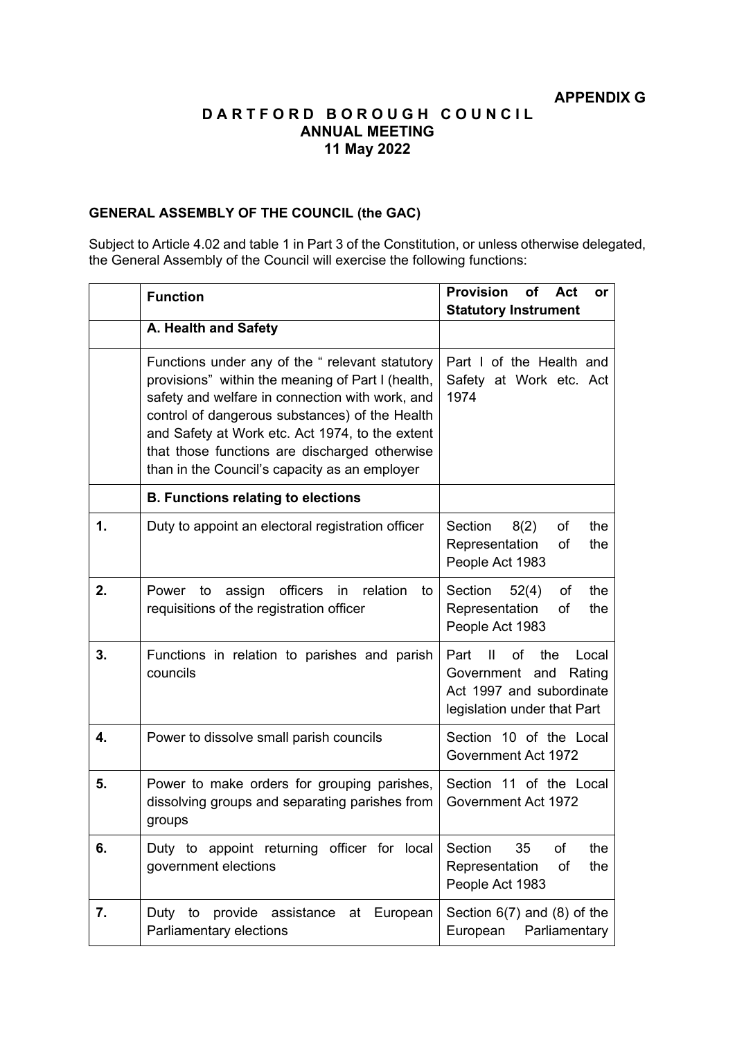## **D A R T F O R D B O R O U G H C O U N C I L ANNUAL MEETING 11 May 2022**

## **GENERAL ASSEMBLY OF THE COUNCIL (the GAC)**

Subject to Article 4.02 and table 1 in Part 3 of the Constitution, or unless otherwise delegated, the General Assembly of the Council will exercise the following functions:

|    | <b>Function</b>                                                                                                                                                                                                                                                                                                                                               | <b>Provision</b><br>of<br>Act<br>or                                                                                                 |
|----|---------------------------------------------------------------------------------------------------------------------------------------------------------------------------------------------------------------------------------------------------------------------------------------------------------------------------------------------------------------|-------------------------------------------------------------------------------------------------------------------------------------|
|    |                                                                                                                                                                                                                                                                                                                                                               | <b>Statutory Instrument</b>                                                                                                         |
|    | A. Health and Safety                                                                                                                                                                                                                                                                                                                                          |                                                                                                                                     |
|    | Functions under any of the "relevant statutory<br>provisions" within the meaning of Part I (health,<br>safety and welfare in connection with work, and<br>control of dangerous substances) of the Health<br>and Safety at Work etc. Act 1974, to the extent<br>that those functions are discharged otherwise<br>than in the Council's capacity as an employer | Part I of the Health and<br>Safety at Work etc. Act<br>1974                                                                         |
|    | <b>B. Functions relating to elections</b>                                                                                                                                                                                                                                                                                                                     |                                                                                                                                     |
| 1. | Duty to appoint an electoral registration officer                                                                                                                                                                                                                                                                                                             | Section<br>8(2)<br>of<br>the<br>Representation<br>of<br>the<br>People Act 1983                                                      |
| 2. | officers in<br>relation<br>assign<br>Power<br>to<br>to<br>requisitions of the registration officer                                                                                                                                                                                                                                                            | Section<br>52(4)<br>the<br>of<br>Representation<br>of<br>the<br>People Act 1983                                                     |
| 3. | Functions in relation to parishes and parish<br>councils                                                                                                                                                                                                                                                                                                      | $\blacksquare$<br>the<br>Part<br>of<br>Local<br>Government and<br>Rating<br>Act 1997 and subordinate<br>legislation under that Part |
| 4. | Power to dissolve small parish councils                                                                                                                                                                                                                                                                                                                       | Section 10 of the Local<br>Government Act 1972                                                                                      |
| 5. | Power to make orders for grouping parishes,<br>dissolving groups and separating parishes from<br>groups                                                                                                                                                                                                                                                       | Section 11 of the Local<br>Government Act 1972                                                                                      |
| 6. | Duty to appoint returning officer for local<br>government elections                                                                                                                                                                                                                                                                                           | Section<br>35<br>of<br>the<br>Representation<br>of<br>the<br>People Act 1983                                                        |
| 7. | Duty to provide assistance at European<br>Parliamentary elections                                                                                                                                                                                                                                                                                             | Section $6(7)$ and $(8)$ of the<br>European<br>Parliamentary                                                                        |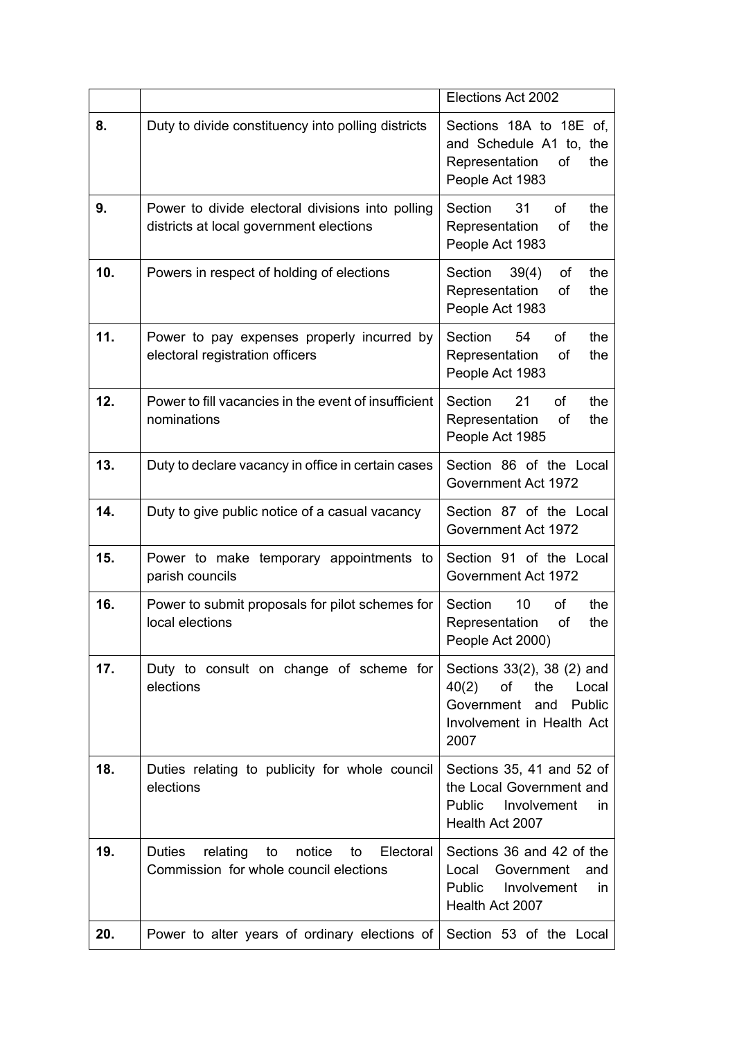|     |                                                                                                        | Elections Act 2002                                                                                                            |
|-----|--------------------------------------------------------------------------------------------------------|-------------------------------------------------------------------------------------------------------------------------------|
| 8.  | Duty to divide constituency into polling districts                                                     | Sections 18A to 18E of,<br>and Schedule A1 to, the<br>the<br>Representation<br>of<br>People Act 1983                          |
| 9.  | Power to divide electoral divisions into polling<br>districts at local government elections            | Section<br>31<br>of<br>the<br>Representation<br>of<br>the<br>People Act 1983                                                  |
| 10. | Powers in respect of holding of elections                                                              | the<br>Section<br>39(4)<br>of<br>Representation<br>of<br>the<br>People Act 1983                                               |
| 11. | Power to pay expenses properly incurred by<br>electoral registration officers                          | Section<br>54<br>of<br>the<br>Representation<br>of<br>the<br>People Act 1983                                                  |
| 12. | Power to fill vacancies in the event of insufficient<br>nominations                                    | Section<br>21<br>of<br>the<br>Representation<br>of<br>the<br>People Act 1985                                                  |
| 13. | Duty to declare vacancy in office in certain cases                                                     | Section 86 of the Local<br>Government Act 1972                                                                                |
| 14. | Duty to give public notice of a casual vacancy                                                         | Section 87 of the Local<br>Government Act 1972                                                                                |
| 15. | Power to make temporary appointments to<br>parish councils                                             | Section 91 of the Local<br>Government Act 1972                                                                                |
| 16. | Power to submit proposals for pilot schemes for<br>local elections                                     | Section<br>10<br>of<br>the<br>Representation<br>of<br>the<br>People Act 2000)                                                 |
| 17. | Duty to consult on change of scheme for<br>elections                                                   | Sections 33(2), 38 (2) and<br>of<br>40(2)<br>the<br>Local<br>Government<br>Public<br>and<br>Involvement in Health Act<br>2007 |
| 18. | Duties relating to publicity for whole council<br>elections                                            | Sections 35, 41 and 52 of<br>the Local Government and<br>Public<br>Involvement<br>in.<br>Health Act 2007                      |
| 19. | relating<br>to<br>notice<br>Electoral<br><b>Duties</b><br>to<br>Commission for whole council elections | Sections 36 and 42 of the<br>Government<br>Local<br>and<br>Public<br>Involvement<br>in<br>Health Act 2007                     |
| 20. | Power to alter years of ordinary elections of                                                          | Section 53 of the Local                                                                                                       |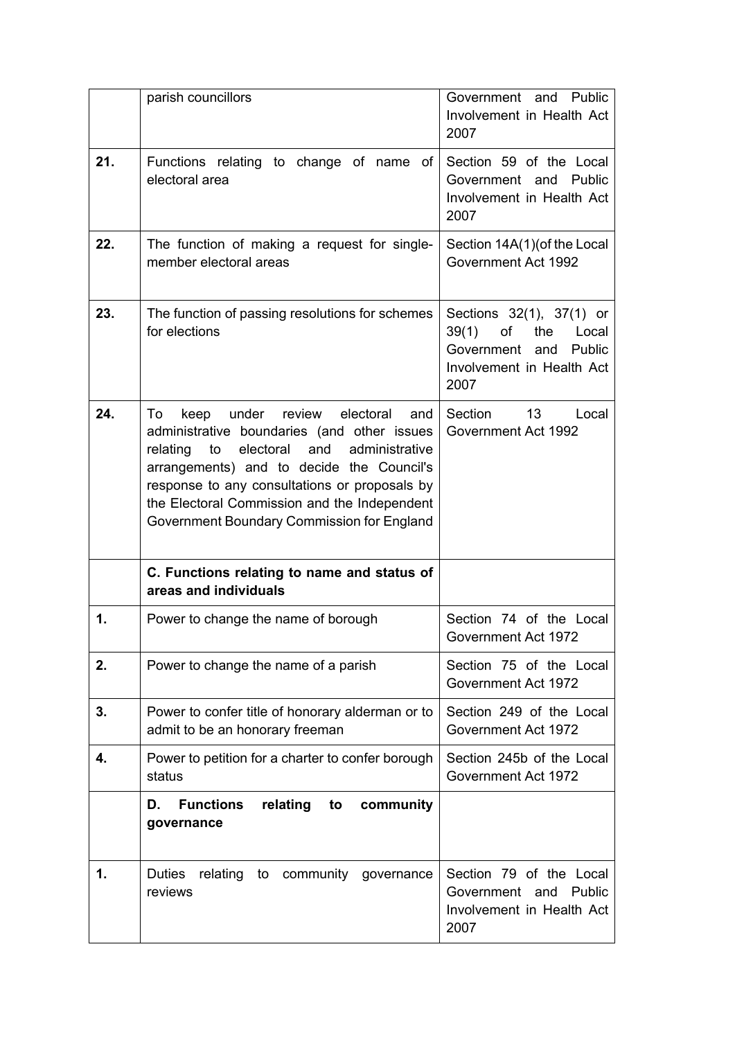|     | parish councillors                                                                                                                                                                                                                                                                                                                             | Government and<br>Public<br>Involvement in Health Act<br>2007                                                               |
|-----|------------------------------------------------------------------------------------------------------------------------------------------------------------------------------------------------------------------------------------------------------------------------------------------------------------------------------------------------|-----------------------------------------------------------------------------------------------------------------------------|
| 21. | Functions relating to change of name of<br>electoral area                                                                                                                                                                                                                                                                                      | Section 59 of the Local<br>Government and<br><b>Public</b><br>Involvement in Health Act<br>2007                             |
| 22. | The function of making a request for single-<br>member electoral areas                                                                                                                                                                                                                                                                         | Section 14A(1)(of the Local<br>Government Act 1992                                                                          |
| 23. | The function of passing resolutions for schemes<br>for elections                                                                                                                                                                                                                                                                               | Sections 32(1), 37(1) or<br>39(1)<br>of<br>the<br>Local<br>Government<br>Public<br>and<br>Involvement in Health Act<br>2007 |
| 24. | under review electoral<br>To<br>keep<br>and<br>administrative boundaries (and other issues<br>electoral<br>and<br>administrative<br>relating<br>to<br>arrangements) and to decide the Council's<br>response to any consultations or proposals by<br>the Electoral Commission and the Independent<br>Government Boundary Commission for England | Section<br>13<br>Local<br>Government Act 1992                                                                               |
|     | C. Functions relating to name and status of<br>areas and individuals                                                                                                                                                                                                                                                                           |                                                                                                                             |
| 1.  | Power to change the name of borough                                                                                                                                                                                                                                                                                                            | Section 74 of the Local<br>Government Act 1972                                                                              |
| 2.  | Power to change the name of a parish                                                                                                                                                                                                                                                                                                           | Section 75 of the Local<br>Government Act 1972                                                                              |
| 3.  | Power to confer title of honorary alderman or to<br>admit to be an honorary freeman                                                                                                                                                                                                                                                            | Section 249 of the Local<br>Government Act 1972                                                                             |
| 4.  | Power to petition for a charter to confer borough<br>status                                                                                                                                                                                                                                                                                    | Section 245b of the Local<br>Government Act 1972                                                                            |
|     | <b>Functions</b><br>relating<br>D.<br>to<br>community<br>governance                                                                                                                                                                                                                                                                            |                                                                                                                             |
| 1.  | relating to community governance<br><b>Duties</b><br>reviews                                                                                                                                                                                                                                                                                   | Section 79 of the Local<br>Government and Public<br>Involvement in Health Act<br>2007                                       |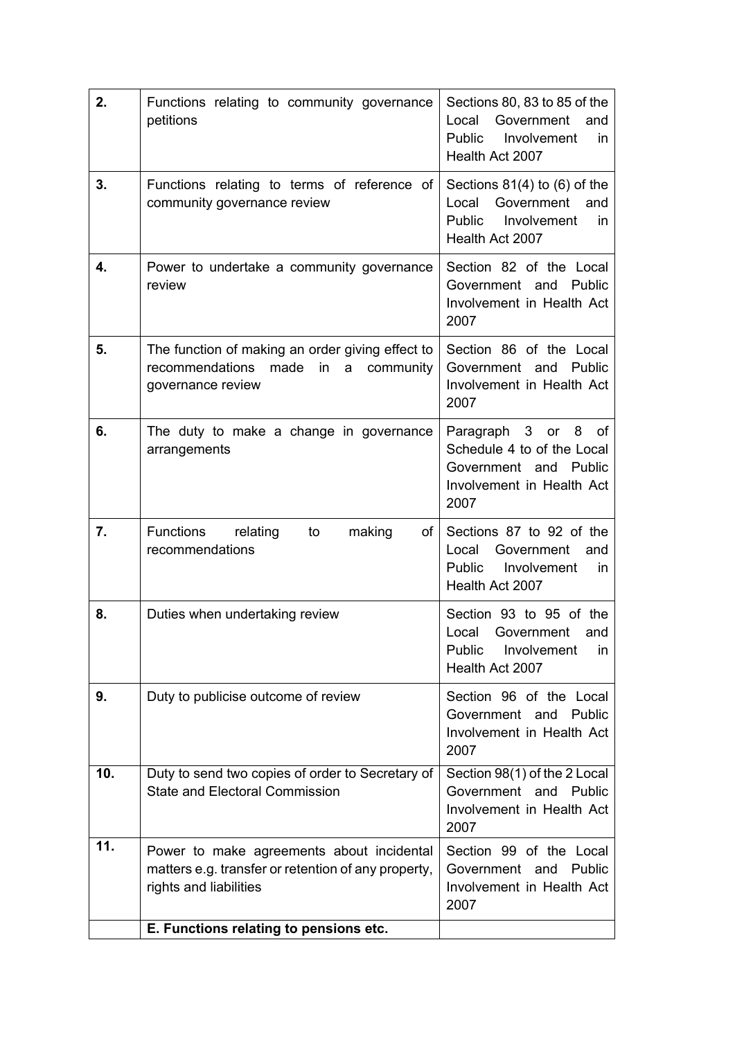| 2.  | Functions relating to community governance<br>petitions                                                                    | Sections 80, 83 to 85 of the<br>Local<br>Government<br>and<br>Public<br>Involvement<br>in.<br>Health Act 2007   |
|-----|----------------------------------------------------------------------------------------------------------------------------|-----------------------------------------------------------------------------------------------------------------|
| 3.  | Functions relating to terms of reference of<br>community governance review                                                 | Sections $81(4)$ to $(6)$ of the<br>Government<br>Local<br>and<br>Public Involvement<br>in.<br>Health Act 2007  |
| 4.  | Power to undertake a community governance<br>review                                                                        | Section 82 of the Local<br>Government and<br><b>Public</b><br>Involvement in Health Act<br>2007                 |
| 5.  | The function of making an order giving effect to<br>recommendations<br>made<br>in<br>a<br>community<br>governance review   | Section 86 of the Local<br>Government and<br><b>Public</b><br>Involvement in Health Act<br>2007                 |
| 6.  | The duty to make a change in governance<br>arrangements                                                                    | Paragraph 3 or 8 of<br>Schedule 4 to of the Local<br>Government and Public<br>Involvement in Health Act<br>2007 |
| 7.  | Functions relating<br>making<br>of<br>to<br>recommendations                                                                | Sections 87 to 92 of the<br>Local<br>Government<br>and<br>Public Involvement<br>in.<br>Health Act 2007          |
| 8.  | Duties when undertaking review                                                                                             | Section 93 to 95 of the<br>Local<br>Government<br>and<br>Public<br>Involvement<br>in.<br>Health Act 2007        |
| 9.  | Duty to publicise outcome of review                                                                                        | Section 96 of the Local<br>Public<br>Government and<br>Involvement in Health Act<br>2007                        |
| 10. | Duty to send two copies of order to Secretary of<br><b>State and Electoral Commission</b>                                  | Section 98(1) of the 2 Local<br>Government and Public<br>Involvement in Health Act<br>2007                      |
| 11. | Power to make agreements about incidental<br>matters e.g. transfer or retention of any property,<br>rights and liabilities | Section 99 of the Local<br>Government and<br><b>Public</b><br>Involvement in Health Act<br>2007                 |
|     | E. Functions relating to pensions etc.                                                                                     |                                                                                                                 |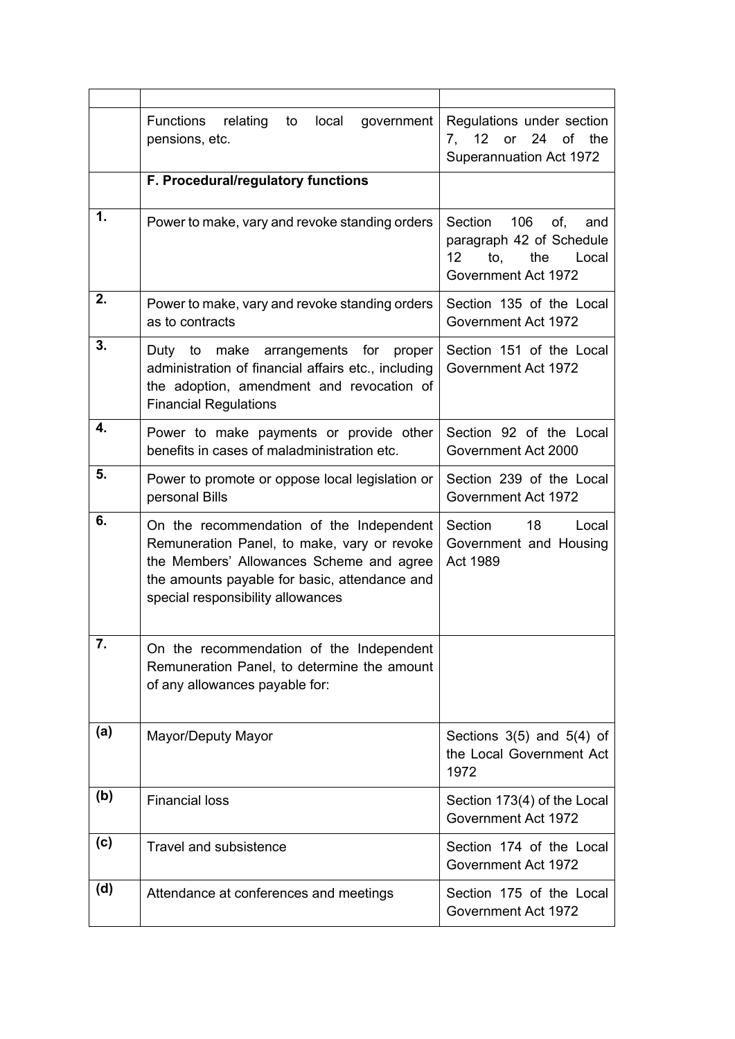|     | <b>Functions</b><br>relating<br>to<br>local<br>government<br>pensions, etc.                                                                                                                                               | Regulations under section<br>12<br>or<br>24<br>of the<br>7,<br>Superannuation Act 1972                       |
|-----|---------------------------------------------------------------------------------------------------------------------------------------------------------------------------------------------------------------------------|--------------------------------------------------------------------------------------------------------------|
|     | F. Procedural/regulatory functions                                                                                                                                                                                        |                                                                                                              |
| 1.  | Power to make, vary and revoke standing orders                                                                                                                                                                            | 106<br>Section<br>of.<br>and<br>paragraph 42 of Schedule<br>12<br>the<br>to,<br>Local<br>Government Act 1972 |
| 2.  | Power to make, vary and revoke standing orders<br>as to contracts                                                                                                                                                         | Section 135 of the Local<br>Government Act 1972                                                              |
| 3.  | Duty to make<br>arrangements for<br>proper<br>administration of financial affairs etc., including<br>the adoption, amendment and revocation of<br><b>Financial Regulations</b>                                            | Section 151 of the Local<br>Government Act 1972                                                              |
| 4.  | Power to make payments or provide other<br>benefits in cases of maladministration etc.                                                                                                                                    | Section 92 of the Local<br>Government Act 2000                                                               |
| 5.  | Power to promote or oppose local legislation or<br>personal Bills                                                                                                                                                         | Section 239 of the Local<br>Government Act 1972                                                              |
| 6.  | On the recommendation of the Independent<br>Remuneration Panel, to make, vary or revoke<br>the Members' Allowances Scheme and agree<br>the amounts payable for basic, attendance and<br>special responsibility allowances | Section<br>18<br>Local<br>Government and Housing<br>Act 1989                                                 |
| 7.  | On the recommendation of the Independent<br>Remuneration Panel, to determine the amount<br>of any allowances payable for:                                                                                                 |                                                                                                              |
| (a) | Mayor/Deputy Mayor                                                                                                                                                                                                        | Sections $3(5)$ and $5(4)$ of<br>the Local Government Act<br>1972                                            |
| (b) | <b>Financial loss</b>                                                                                                                                                                                                     | Section 173(4) of the Local<br>Government Act 1972                                                           |
| (c) | <b>Travel and subsistence</b>                                                                                                                                                                                             | Section 174 of the Local<br>Government Act 1972                                                              |
| (d) | Attendance at conferences and meetings                                                                                                                                                                                    | Section 175 of the Local<br>Government Act 1972                                                              |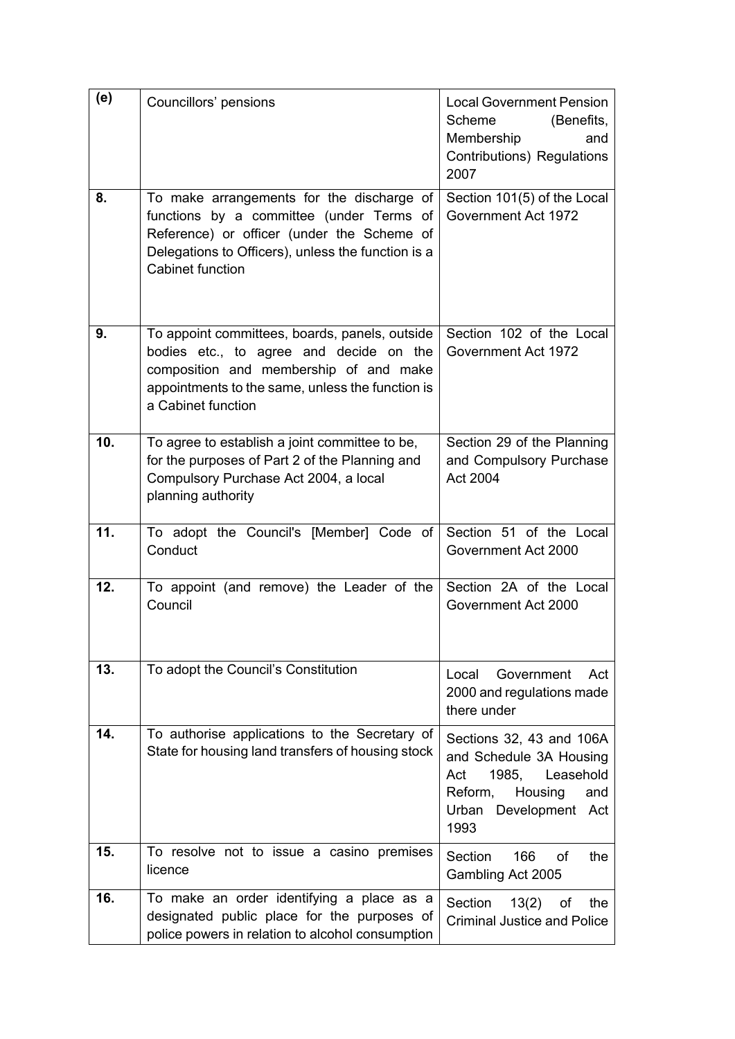| (e) | Councillors' pensions                                                                                                                                                                                         | <b>Local Government Pension</b><br>(Benefits,<br>Scheme<br>Membership<br>and<br>Contributions) Regulations<br>2007                                |
|-----|---------------------------------------------------------------------------------------------------------------------------------------------------------------------------------------------------------------|---------------------------------------------------------------------------------------------------------------------------------------------------|
| 8.  | To make arrangements for the discharge of<br>functions by a committee (under Terms of<br>Reference) or officer (under the Scheme of<br>Delegations to Officers), unless the function is a<br>Cabinet function | Section 101(5) of the Local<br>Government Act 1972                                                                                                |
| 9.  | To appoint committees, boards, panels, outside<br>bodies etc., to agree and decide on the<br>composition and membership of and make<br>appointments to the same, unless the function is<br>a Cabinet function | Section 102 of the Local<br>Government Act 1972                                                                                                   |
| 10. | To agree to establish a joint committee to be,<br>for the purposes of Part 2 of the Planning and<br>Compulsory Purchase Act 2004, a local<br>planning authority                                               | Section 29 of the Planning<br>and Compulsory Purchase<br>Act 2004                                                                                 |
| 11. | To adopt the Council's [Member] Code of<br>Conduct                                                                                                                                                            | Section 51 of the Local<br>Government Act 2000                                                                                                    |
| 12. | To appoint (and remove) the Leader of the<br>Council                                                                                                                                                          | Section 2A of the Local<br>Government Act 2000                                                                                                    |
| 13. | To adopt the Council's Constitution                                                                                                                                                                           | Government<br>Local<br>Act<br>2000 and regulations made<br>there under                                                                            |
| 14. | To authorise applications to the Secretary of<br>State for housing land transfers of housing stock                                                                                                            | Sections 32, 43 and 106A<br>and Schedule 3A Housing<br>Leasehold<br>1985,<br>Act<br>Reform,<br>Housing<br>and<br>Urban<br>Development Act<br>1993 |
| 15. | To resolve not to issue a casino premises<br>licence                                                                                                                                                          | Section<br>166<br>of<br>the<br>Gambling Act 2005                                                                                                  |
| 16. | To make an order identifying a place as a<br>designated public place for the purposes of<br>police powers in relation to alcohol consumption                                                                  | Section<br>13(2)<br>the<br>of<br><b>Criminal Justice and Police</b>                                                                               |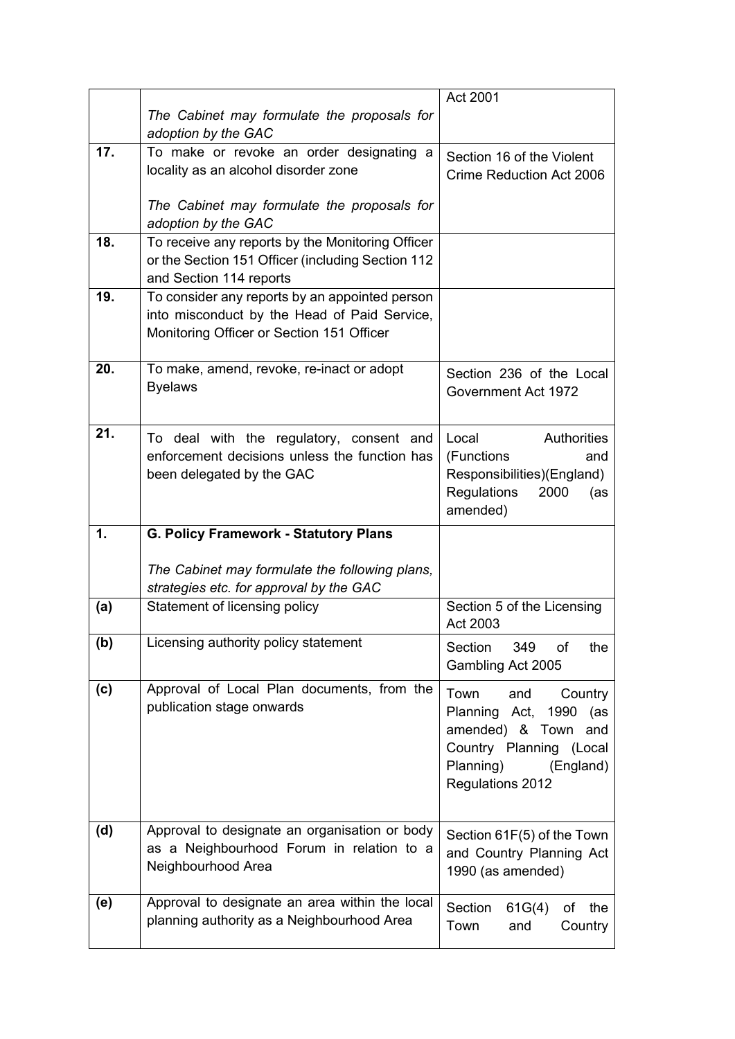|     |                                                                                                                                             | Act 2001                                                                                                                                               |
|-----|---------------------------------------------------------------------------------------------------------------------------------------------|--------------------------------------------------------------------------------------------------------------------------------------------------------|
|     | The Cabinet may formulate the proposals for<br>adoption by the GAC                                                                          |                                                                                                                                                        |
| 17. | To make or revoke an order designating a                                                                                                    | Section 16 of the Violent                                                                                                                              |
|     | locality as an alcohol disorder zone                                                                                                        | <b>Crime Reduction Act 2006</b>                                                                                                                        |
|     | The Cabinet may formulate the proposals for<br>adoption by the GAC                                                                          |                                                                                                                                                        |
| 18. | To receive any reports by the Monitoring Officer<br>or the Section 151 Officer (including Section 112<br>and Section 114 reports            |                                                                                                                                                        |
| 19. | To consider any reports by an appointed person<br>into misconduct by the Head of Paid Service,<br>Monitoring Officer or Section 151 Officer |                                                                                                                                                        |
| 20. | To make, amend, revoke, re-inact or adopt<br><b>Byelaws</b>                                                                                 | Section 236 of the Local<br>Government Act 1972                                                                                                        |
| 21. | To deal with the regulatory, consent and<br>enforcement decisions unless the function has<br>been delegated by the GAC                      | Local<br>Authorities<br>(Functions<br>and<br>Responsibilities)(England)<br>Regulations<br>2000<br>(as                                                  |
|     |                                                                                                                                             | amended)                                                                                                                                               |
|     |                                                                                                                                             |                                                                                                                                                        |
| 1.  | <b>G. Policy Framework - Statutory Plans</b>                                                                                                |                                                                                                                                                        |
|     | The Cabinet may formulate the following plans,                                                                                              |                                                                                                                                                        |
| (a) | strategies etc. for approval by the GAC<br>Statement of licensing policy                                                                    | Section 5 of the Licensing<br>Act 2003                                                                                                                 |
| (b) | Licensing authority policy statement                                                                                                        | Section<br>349<br>of<br>the<br>Gambling Act 2005                                                                                                       |
| (c) | Approval of Local Plan documents, from the<br>publication stage onwards                                                                     | Town<br>and<br>Country<br>Planning<br>Act,<br>1990 (as<br>amended) & Town and<br>Country Planning (Local<br>Planning)<br>(England)<br>Regulations 2012 |
| (d) | Approval to designate an organisation or body<br>as a Neighbourhood Forum in relation to a<br>Neighbourhood Area                            | Section 61F(5) of the Town<br>and Country Planning Act<br>1990 (as amended)                                                                            |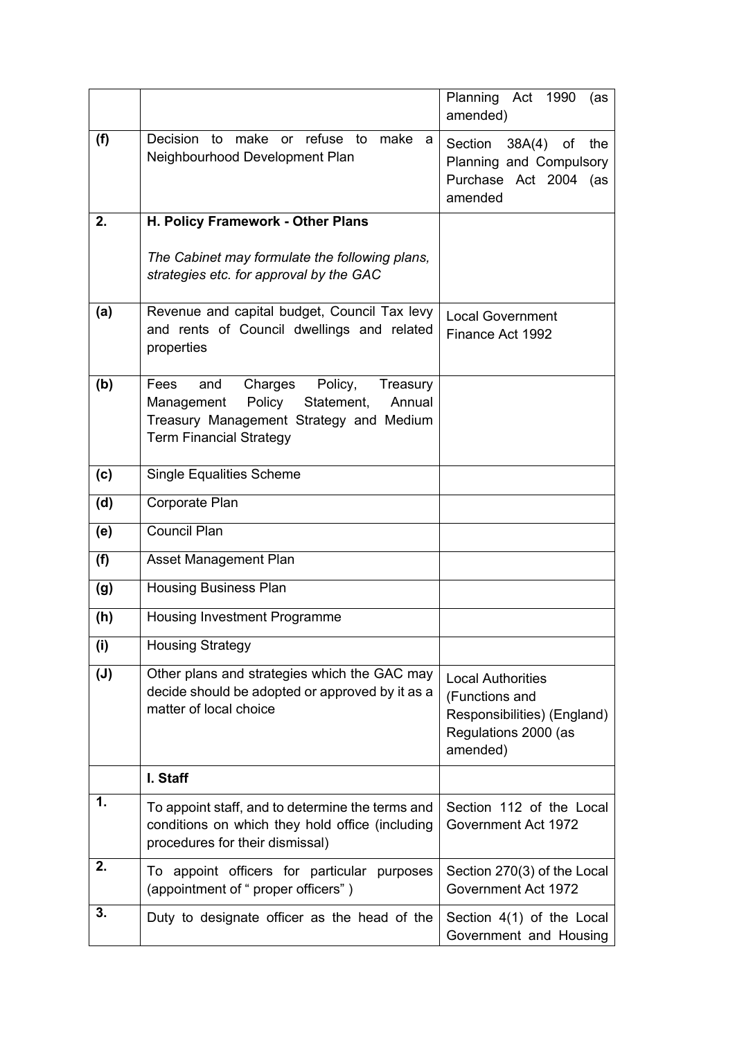|                |                                                                                                                                                                      | Planning Act 1990<br>(as<br>amended)                                                                          |
|----------------|----------------------------------------------------------------------------------------------------------------------------------------------------------------------|---------------------------------------------------------------------------------------------------------------|
| (f)            | Decision to make or refuse to make a<br>Neighbourhood Development Plan                                                                                               | Section 38A(4) of<br>the<br>Planning and Compulsory<br>Purchase Act 2004 (as<br>amended                       |
| 2.             | H. Policy Framework - Other Plans                                                                                                                                    |                                                                                                               |
|                | The Cabinet may formulate the following plans,<br>strategies etc. for approval by the GAC                                                                            |                                                                                                               |
| (a)            | Revenue and capital budget, Council Tax levy<br>and rents of Council dwellings and related<br>properties                                                             | <b>Local Government</b><br>Finance Act 1992                                                                   |
| (b)            | Charges Policy,<br>Fees<br>and<br>Treasury<br>Policy Statement,<br>Annual<br>Management<br>Treasury Management Strategy and Medium<br><b>Term Financial Strategy</b> |                                                                                                               |
| (c)            | <b>Single Equalities Scheme</b>                                                                                                                                      |                                                                                                               |
| (d)            | Corporate Plan                                                                                                                                                       |                                                                                                               |
| (e)            | <b>Council Plan</b>                                                                                                                                                  |                                                                                                               |
| (f)            | Asset Management Plan                                                                                                                                                |                                                                                                               |
| (g)            | <b>Housing Business Plan</b>                                                                                                                                         |                                                                                                               |
| (h)            | Housing Investment Programme                                                                                                                                         |                                                                                                               |
| (i)            | <b>Housing Strategy</b>                                                                                                                                              |                                                                                                               |
| $(\mathsf{J})$ | Other plans and strategies which the GAC may<br>decide should be adopted or approved by it as a<br>matter of local choice                                            | <b>Local Authorities</b><br>(Functions and<br>Responsibilities) (England)<br>Regulations 2000 (as<br>amended) |
|                | I. Staff                                                                                                                                                             |                                                                                                               |
| 1.             | To appoint staff, and to determine the terms and<br>conditions on which they hold office (including<br>procedures for their dismissal)                               | Section 112 of the Local<br>Government Act 1972                                                               |
| 2.             | To appoint officers for particular purposes<br>(appointment of " proper officers")                                                                                   | Section 270(3) of the Local<br>Government Act 1972                                                            |
| 3.             | Duty to designate officer as the head of the                                                                                                                         | Section 4(1) of the Local<br>Government and Housing                                                           |